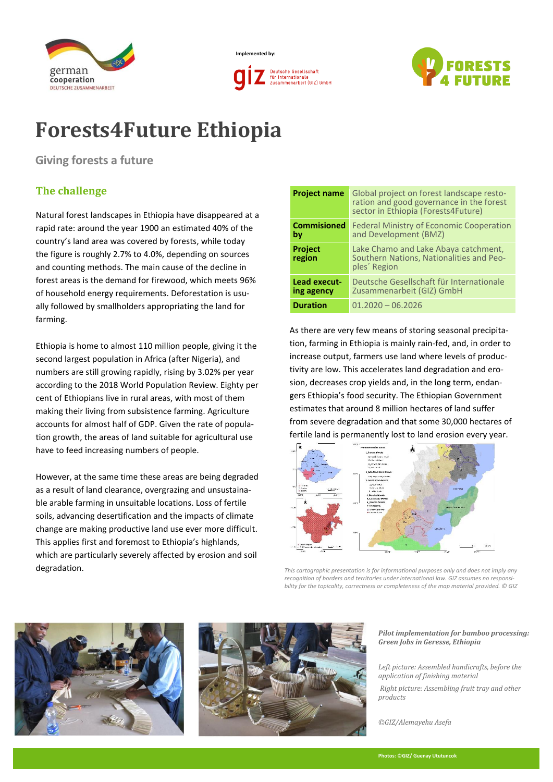

**Implemented by: Deutsche Gesellschaft** 

für International

Zusammenarbeit (GIZ) GmbH



# **Forests4Future Ethiopia**

**Giving forests a future**

## **The challenge**

Natural forest landscapes in Ethiopia have disappeared at a rapid rate: around the year 1900 an estimated 40% of the country's land area was covered by forests, while today the figure is roughly 2.7% to 4.0%, depending on sources and counting methods. The main cause of the decline in forest areas is the demand for firewood, which meets 96% of household energy requirements. Deforestation is usually followed by smallholders appropriating the land for farming.

Ethiopia is home to almost 110 million people, giving it the second largest population in Africa (after Nigeria), and numbers are still growing rapidly, rising by 3.02% per year according to the 2018 World Population Review. Eighty per cent of Ethiopians live in rural areas, with most of them making their living from subsistence farming. Agriculture accounts for almost half of GDP. Given the rate of population growth, the areas of land suitable for agricultural use have to feed increasing numbers of people.

However, at the same time these areas are being degraded as a result of land clearance, overgrazing and unsustainable arable farming in unsuitable locations. Loss of fertile soils, advancing desertification and the impacts of climate change are making productive land use ever more difficult. This applies first and foremost to Ethiopia's highlands, which are particularly severely affected by erosion and soil degradation.

| <b>Project name</b>        | Global project on forest landscape resto-<br>ration and good governance in the forest<br>sector in Ethiopia (Forests4Future) |  |
|----------------------------|------------------------------------------------------------------------------------------------------------------------------|--|
| <b>Commisioned</b><br>by   | <b>Federal Ministry of Economic Cooperation</b><br>and Development (BMZ)                                                     |  |
| <b>Project</b><br>region   | Lake Chamo and Lake Abaya catchment,<br>Southern Nations, Nationalities and Peo-<br>ples Region                              |  |
| Lead execut-<br>ing agency | Deutsche Gesellschaft für Internationale<br>Zusammenarbeit (GIZ) GmbH                                                        |  |
| <b>Duration</b>            | $01.2020 - 06.2026$                                                                                                          |  |

As there are very few means of storing seasonal precipitation, farming in Ethiopia is mainly rain-fed, and, in order to increase output, farmers use land where levels of productivity are low. This accelerates land degradation and erosion, decreases crop yields and, in the long term, endangers Ethiopia's food security. The Ethiopian Government estimates that around 8 million hectares of land suffer from severe degradation and that some 30,000 hectares of fertile land is permanently lost to land erosion every year.



*This cartographic presentation is for informational purposes only and does not imply any recognition of borders and territories under international law. GIZ assumes no responsibility for the topicality, correctness or completeness of the map material provided. © GIZ*





#### *Pilot implementation for bamboo processing: Green Jobs in Geresse, Ethiopia*

*Left picture: Assembled handicrafts, before the application of finishing material*

*Right picture: Assembling fruit tray and other products*

*©GIZ/Alemayehu Asefa*